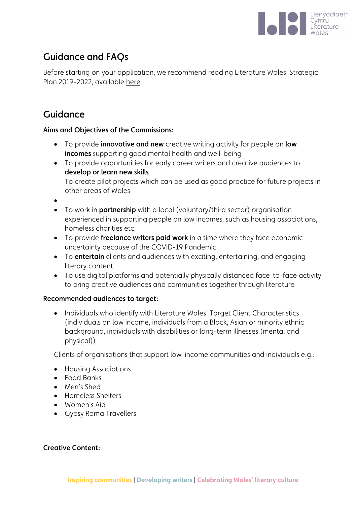

# Guidance and FAQs

Before starting on your application, we recommend reading Literature Wales' Strategic Plan 2019-2022, available [here.](https://www.literaturewales.org/about/strategic-plan-2019-2022/)

## Guidance

### Aims and Objectives of the Commissions:

- To provide **innovative and new** creative writing activity for people on **low** incomes supporting good mental health and well-being
- To provide opportunities for early career writers and creative audiences to develop or learn new skills
- To create pilot projects which can be used as good practice for future projects in other areas of Wales

•

- To work in **partnership** with a local (voluntary/third sector) organisation experienced in supporting people on low incomes, such as housing associations, homeless charities etc.
- To provide freelance writers paid work in a time where they face economic uncertainty because of the COVID-19 Pandemic
- To entertain clients and audiences with exciting, entertaining, and engaging literary content
- To use digital platforms and potentially physically distanced face-to-face activity to bring creative audiences and communities together through literature

### Recommended audiences to target:

• Individuals who identify with Literature Wales' Target Client Characteristics (individuals on low income, individuals from a Black, Asian or minority ethnic background, individuals with disabilities or long-term illnesses (mental and physical))

Clients of organisations that support low-income communities and individuals e.g.:

- Housing Associations
- Food Banks
- Men's Shed
- Homeless Shelters
- Women's Aid
- Gypsy Roma Travellers

### Creative Content: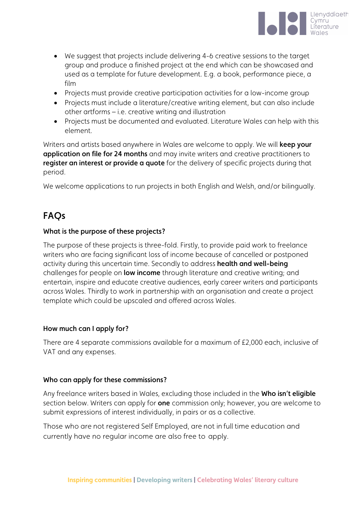

- We suggest that projects include delivering 4-6 creative sessions to the target group and produce a finished project at the end which can be showcased and used as a template for future development. E.g. a book, performance piece, a film
- Projects must provide creative participation activities for a low-income group
- Projects must include a literature/creative writing element, but can also include other artforms – i.e. creative writing and illustration
- Projects must be documented and evaluated. Literature Wales can help with this element.

Writers and artists based anywhere in Wales are welcome to apply. We will **keep your** application on file for 24 months and may invite writers and creative practitioners to register an interest or provide a quote for the delivery of specific projects during that period.

We welcome applications to run projects in both English and Welsh, and/or bilingually.

## FAQs

#### What is the purpose of these projects?

The purpose of these projects is three-fold. Firstly, to provide paid work to freelance writers who are facing significant loss of income because of cancelled or postponed activity during this uncertain time. Secondly to address health and well-being challenges for people on **low income** through literature and creative writing; and entertain, inspire and educate creative audiences, early career writers and participants across Wales. Thirdly to work in partnership with an organisation and create a project template which could be upscaled and offered across Wales.

### How much can I apply for?

There are 4 separate commissions available for a maximum of £2,000 each, inclusive of VAT and any expenses.

#### Who can apply for these commissions?

Any freelance writers based in Wales, excluding those included in the Who isn't eligible section below. Writers can apply for **one** commission only; however, you are welcome to submit expressions of interest individually, in pairs or as a collective.

Those who are not registered Self Employed, are not in full time education and currently have no regular income are also free to apply.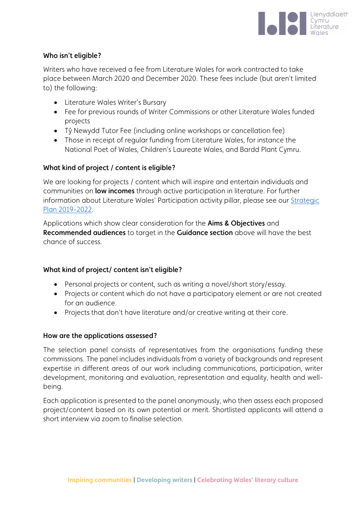

#### Who isn't eligible?

Writers who have received a fee from Literature Wales for work contracted to take place between March 2020 and December 2020. These fees include (but aren't limited to) the following:

- Literature Wales Writer's Bursary
- Fee for previous rounds of Writer Commissions or other Literature Wales funded projects
- Tŷ Newydd Tutor Fee (including online workshops or cancellation fee)
- Those in receipt of regular funding from Literature Wales, for instance the National Poet of Wales, Children's Laureate Wales, and Bardd Plant Cymru.

### What kind of project / content is eligible?

We are looking for projects / content which will inspire and entertain individuals and communities on low incomes through active participation in literature. For further information about Literature Wales' Participation activity pillar, please see our [Strategic](https://www.literaturewales.org/about/strategic-plan-2019-2022/)  [Plan 2019-2022.](https://www.literaturewales.org/about/strategic-plan-2019-2022/)

Applications which show clear consideration for the Aims & Objectives and Recommended audiences to target in the Guidance section above will have the best chance of success.

### What kind of project/ content isn't eligible?

- Personal projects or content, such as writing a novel/short story/essay.
- Projects or content which do not have a participatory element or are not created for an audience.
- Projects that don't have literature and/or creative writing at their core.

### How are the applications assessed?

The selection panel consists of representatives from the organisations funding these commissions. The panel includes individuals from a variety of backgrounds and represent expertise in different areas of our work including communications, participation, writer development, monitoring and evaluation, representation and equality, health and wellbeing.

Each application is presented to the panel anonymously, who then assess each proposed project/content based on its own potential or merit. Shortlisted applicants will attend a short interview via zoom to finalise selection.